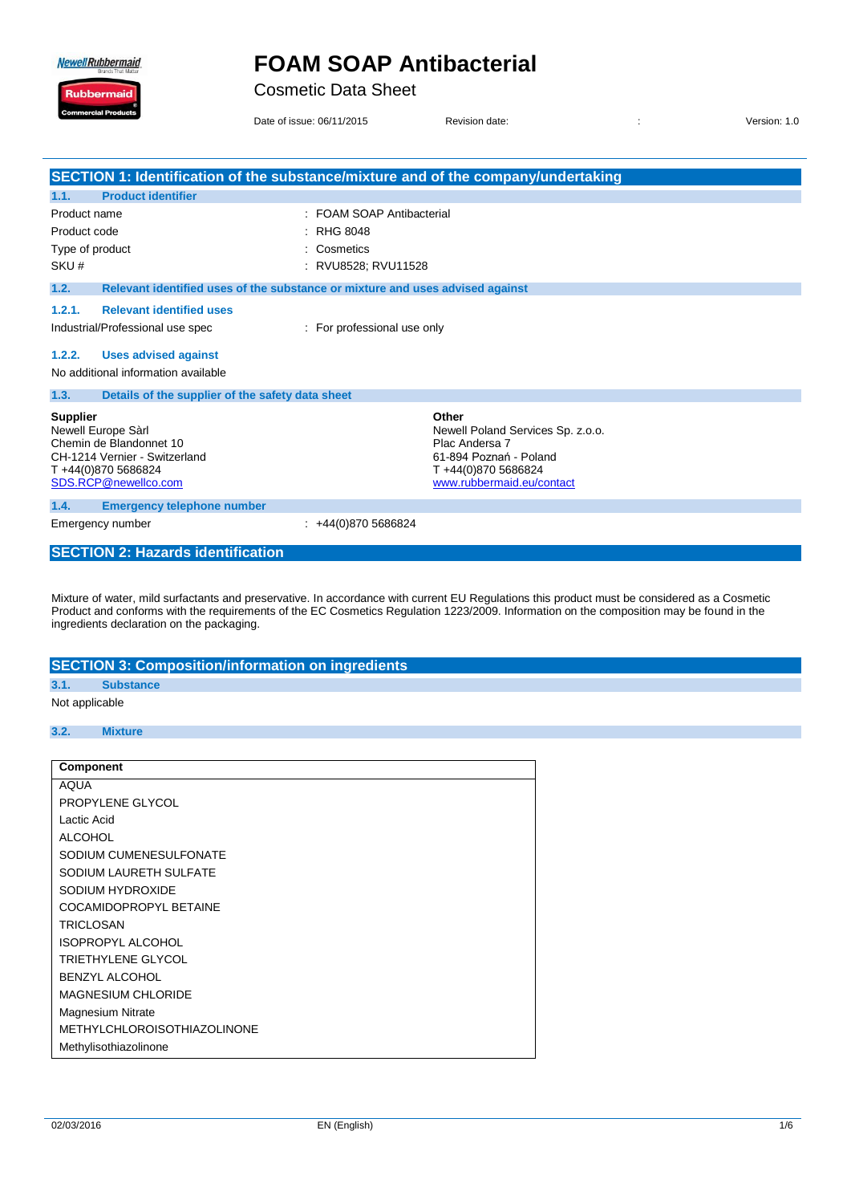**Newell Rubbermaid** 

Ruk

## **FOAM SOAP Antibacterial**

Cosmetic Data Sheet

Date of issue: 06/11/2015 Revision date:  $\overline{a}$  and  $\overline{b}$  is version: 1.0

|                                                                                                                                                 | SECTION 1: Identification of the substance/mixture and of the company/undertaking                                                         |  |  |
|-------------------------------------------------------------------------------------------------------------------------------------------------|-------------------------------------------------------------------------------------------------------------------------------------------|--|--|
| <b>Product identifier</b><br>1.1.                                                                                                               |                                                                                                                                           |  |  |
| Product name                                                                                                                                    | : FOAM SOAP Antibacterial                                                                                                                 |  |  |
| Product code                                                                                                                                    | <b>RHG 8048</b>                                                                                                                           |  |  |
| Type of product                                                                                                                                 | Cosmetics                                                                                                                                 |  |  |
| SKU#                                                                                                                                            | RVU8528; RVU11528                                                                                                                         |  |  |
| 1.2.                                                                                                                                            | Relevant identified uses of the substance or mixture and uses advised against                                                             |  |  |
| <b>Relevant identified uses</b><br>1.2.1.<br>Industrial/Professional use spec                                                                   | : For professional use only                                                                                                               |  |  |
| 1.2.2.<br><b>Uses advised against</b><br>No additional information available                                                                    |                                                                                                                                           |  |  |
| 1.3.<br>Details of the supplier of the safety data sheet                                                                                        |                                                                                                                                           |  |  |
| <b>Supplier</b><br>Newell Europe Sàrl<br>Chemin de Blandonnet 10<br>CH-1214 Vernier - Switzerland<br>T+44(0)870 5686824<br>SDS.RCP@newellco.com | Other<br>Newell Poland Services Sp. z.o.o.<br>Plac Andersa 7<br>61-894 Poznań - Poland<br>T+44(0)870 5686824<br>www.rubbermaid.eu/contact |  |  |
| <b>Emergency telephone number</b><br>1.4.                                                                                                       |                                                                                                                                           |  |  |
| Emergency number                                                                                                                                | +44(0)870 5686824                                                                                                                         |  |  |
| <b>SECTION 2: Hazards identification</b>                                                                                                        |                                                                                                                                           |  |  |

Mixture of water, mild surfactants and preservative. In accordance with current EU Regulations this product must be considered as a Cosmetic Product and conforms with the requirements of the EC Cosmetics Regulation 1223/2009. Information on the composition may be found in the ingredients declaration on the packaging.

#### **SECTION 3: Composition/information on ingredients 3.1. Substance**

#### Not applicable

#### **3.2. Mixture**

| <b>Component</b>                   |
|------------------------------------|
| <b>AQUA</b>                        |
| PROPYLENE GLYCOL                   |
| Lactic Acid                        |
| <b>ALCOHOL</b>                     |
| SODIUM CUMENESULFONATE             |
| SODIUM LAURETH SULFATE             |
| SODIUM HYDROXIDE                   |
| COCAMIDOPROPYL BETAINE             |
| TRICLOSAN                          |
| <b>ISOPROPYL ALCOHOL</b>           |
| TRIETHYLENE GLYCOL                 |
| <b>BENZYL ALCOHOL</b>              |
| <b>MAGNESIUM CHLORIDE</b>          |
| <b>Magnesium Nitrate</b>           |
| <b>METHYLCHLOROISOTHIAZOLINONE</b> |
| Methylisothiazolinone              |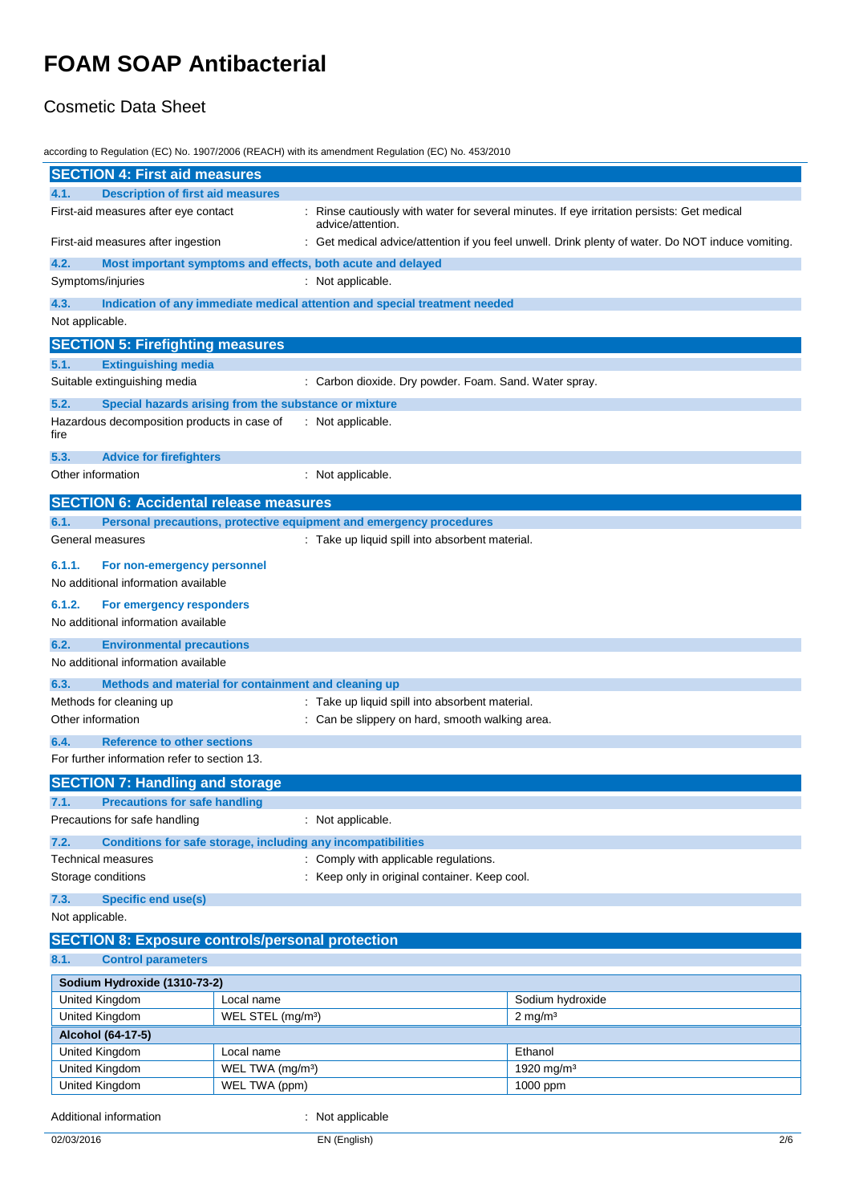### Cosmetic Data Sheet

according to Regulation (EC) No. 1907/2006 (REACH) with its amendment Regulation (EC) No. 453/2010

| <b>SECTION 4: First aid measures</b>                                                       |                                                     |                                                                                                    |                                                                                                 |
|--------------------------------------------------------------------------------------------|-----------------------------------------------------|----------------------------------------------------------------------------------------------------|-------------------------------------------------------------------------------------------------|
| <b>Description of first aid measures</b><br>4.1.                                           |                                                     |                                                                                                    |                                                                                                 |
| First-aid measures after eye contact                                                       |                                                     | advice/attention.                                                                                  | Rinse cautiously with water for several minutes. If eye irritation persists: Get medical        |
| First-aid measures after ingestion                                                         |                                                     |                                                                                                    | Get medical advice/attention if you feel unwell. Drink plenty of water. Do NOT induce vomiting. |
| 4.2.                                                                                       |                                                     | Most important symptoms and effects, both acute and delayed                                        |                                                                                                 |
| Symptoms/injuries                                                                          |                                                     | : Not applicable.                                                                                  |                                                                                                 |
| 4.3.                                                                                       |                                                     | Indication of any immediate medical attention and special treatment needed                         |                                                                                                 |
| Not applicable.                                                                            |                                                     |                                                                                                    |                                                                                                 |
| <b>SECTION 5: Firefighting measures</b>                                                    |                                                     |                                                                                                    |                                                                                                 |
| 5.1.<br><b>Extinguishing media</b>                                                         |                                                     |                                                                                                    |                                                                                                 |
| Suitable extinguishing media                                                               |                                                     | Carbon dioxide. Dry powder. Foam. Sand. Water spray.                                               |                                                                                                 |
| 5.2.<br>Special hazards arising from the substance or mixture                              |                                                     |                                                                                                    |                                                                                                 |
| Hazardous decomposition products in case of<br>fire                                        |                                                     | : Not applicable.                                                                                  |                                                                                                 |
| 5.3.<br><b>Advice for firefighters</b>                                                     |                                                     |                                                                                                    |                                                                                                 |
| Other information                                                                          |                                                     | Not applicable.                                                                                    |                                                                                                 |
| <b>SECTION 6: Accidental release measures</b>                                              |                                                     |                                                                                                    |                                                                                                 |
| 6.1.                                                                                       |                                                     | Personal precautions, protective equipment and emergency procedures                                |                                                                                                 |
| General measures                                                                           |                                                     | : Take up liquid spill into absorbent material.                                                    |                                                                                                 |
| 6.1.1.                                                                                     |                                                     |                                                                                                    |                                                                                                 |
| For non-emergency personnel<br>No additional information available                         |                                                     |                                                                                                    |                                                                                                 |
| 6.1.2.                                                                                     |                                                     |                                                                                                    |                                                                                                 |
| For emergency responders<br>No additional information available                            |                                                     |                                                                                                    |                                                                                                 |
|                                                                                            |                                                     |                                                                                                    |                                                                                                 |
| 6.2.<br><b>Environmental precautions</b><br>No additional information available            |                                                     |                                                                                                    |                                                                                                 |
|                                                                                            |                                                     |                                                                                                    |                                                                                                 |
| 6.3.<br>Methods and material for containment and cleaning up                               |                                                     |                                                                                                    |                                                                                                 |
| Methods for cleaning up<br>Other information                                               |                                                     | : Take up liquid spill into absorbent material.<br>: Can be slippery on hard, smooth walking area. |                                                                                                 |
|                                                                                            |                                                     |                                                                                                    |                                                                                                 |
| <b>Reference to other sections</b><br>6.4.<br>For further information refer to section 13. |                                                     |                                                                                                    |                                                                                                 |
|                                                                                            |                                                     |                                                                                                    |                                                                                                 |
| <b>SECTION 7: Handling and storage</b><br><b>Precautions for safe handling</b>             |                                                     |                                                                                                    |                                                                                                 |
| Precautions for safe handling                                                              |                                                     | : Not applicable.                                                                                  |                                                                                                 |
| 7.2.                                                                                       |                                                     |                                                                                                    |                                                                                                 |
| Conditions for safe storage, including any incompatibilities<br>Technical measures         |                                                     | : Comply with applicable regulations.                                                              |                                                                                                 |
| Storage conditions                                                                         |                                                     | : Keep only in original container. Keep cool.                                                      |                                                                                                 |
| 7.3.<br><b>Specific end use(s)</b>                                                         |                                                     |                                                                                                    |                                                                                                 |
| Not applicable.                                                                            |                                                     |                                                                                                    |                                                                                                 |
| <b>SECTION 8: Exposure controls/personal protection</b>                                    |                                                     |                                                                                                    |                                                                                                 |
| 8.1.<br><b>Control parameters</b>                                                          |                                                     |                                                                                                    |                                                                                                 |
| Sodium Hydroxide (1310-73-2)                                                               |                                                     |                                                                                                    |                                                                                                 |
| United Kingdom<br>Local name                                                               |                                                     |                                                                                                    | Sodium hydroxide                                                                                |
| United Kingdom                                                                             | $2 \text{ mg/m}^3$<br>WEL STEL (mg/m <sup>3</sup> ) |                                                                                                    |                                                                                                 |
| Alcohol (64-17-5)                                                                          |                                                     |                                                                                                    |                                                                                                 |
| United Kingdom                                                                             | Local name                                          |                                                                                                    | Ethanol                                                                                         |
| United Kingdom<br>WEL TWA (mg/m <sup>3</sup> )<br>United Kingdom<br>WEL TWA (ppm)          |                                                     |                                                                                                    | 1920 mg/m <sup>3</sup>                                                                          |
|                                                                                            |                                                     |                                                                                                    | 1000 ppm                                                                                        |
| Additional information                                                                     |                                                     | : Not applicable                                                                                   |                                                                                                 |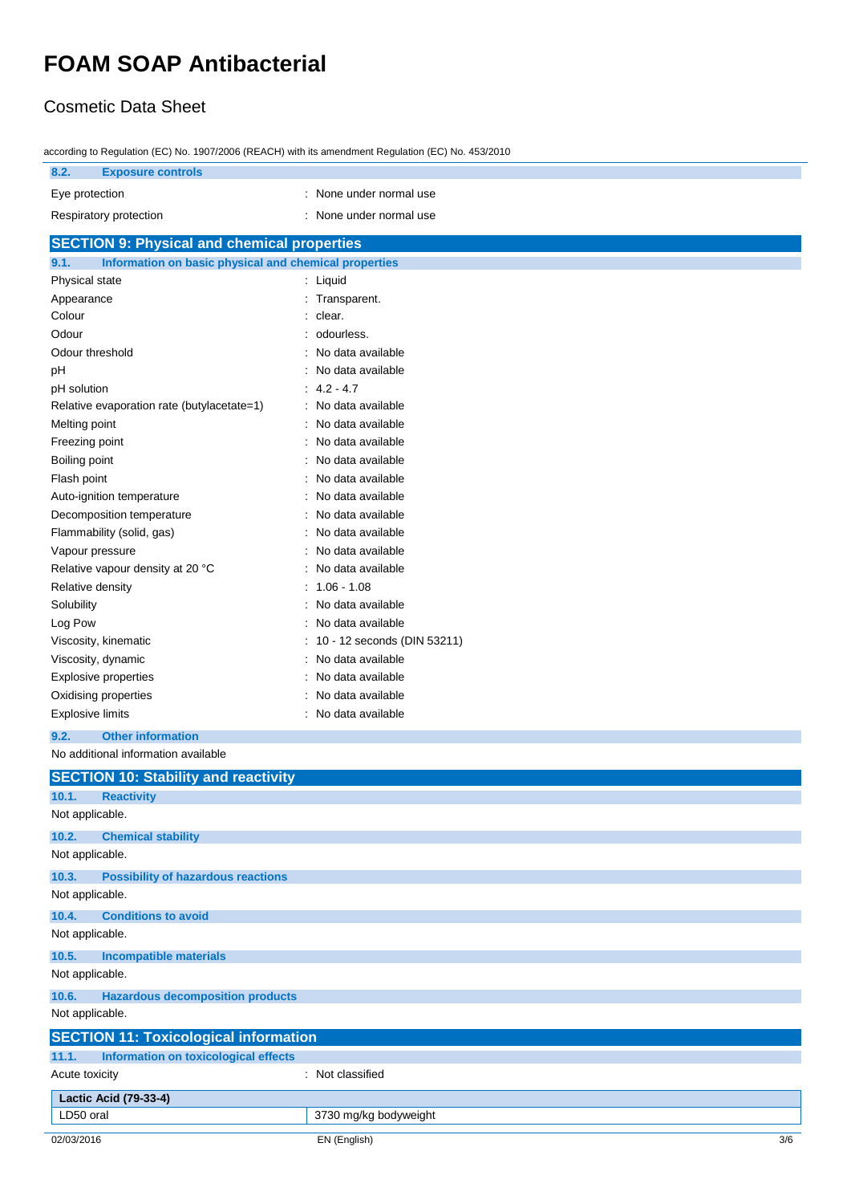### Cosmetic Data Sheet

| according to Regulation (EC) No. 1907/2006 (REACH) with its amendment Regulation (EC) No. 453/2010 |  |  |  |  |
|----------------------------------------------------------------------------------------------------|--|--|--|--|
|                                                                                                    |  |  |  |  |

| 10001 any to regard for the recent control of the recent international regarded to provide the<br>8.2.<br><b>Exposure controls</b> |                                |  |
|------------------------------------------------------------------------------------------------------------------------------------|--------------------------------|--|
| Eye protection                                                                                                                     | : None under normal use        |  |
|                                                                                                                                    |                                |  |
| Respiratory protection                                                                                                             | None under normal use          |  |
| <b>SECTION 9: Physical and chemical properties</b>                                                                                 |                                |  |
| Information on basic physical and chemical properties<br>9.1.                                                                      |                                |  |
| Physical state                                                                                                                     | : Liquid                       |  |
| Appearance                                                                                                                         | Transparent.                   |  |
| Colour                                                                                                                             | clear.                         |  |
| Odour                                                                                                                              | odourless.                     |  |
| Odour threshold                                                                                                                    | No data available              |  |
| рH                                                                                                                                 | No data available              |  |
| pH solution                                                                                                                        | $4.2 - 4.7$                    |  |
| Relative evaporation rate (butylacetate=1)                                                                                         | No data available<br>$\bullet$ |  |
| Melting point                                                                                                                      | No data available              |  |
| Freezing point                                                                                                                     | No data available              |  |
| Boiling point                                                                                                                      | No data available              |  |
| Flash point                                                                                                                        | No data available              |  |
| Auto-ignition temperature                                                                                                          | No data available              |  |
| Decomposition temperature                                                                                                          | No data available              |  |
| Flammability (solid, gas)                                                                                                          | No data available              |  |
| Vapour pressure                                                                                                                    | No data available              |  |
| Relative vapour density at 20 °C                                                                                                   | No data available              |  |
| Relative density                                                                                                                   | $1.06 - 1.08$                  |  |
| Solubility                                                                                                                         | No data available              |  |
| Log Pow                                                                                                                            | No data available              |  |
| Viscosity, kinematic                                                                                                               | 10 - 12 seconds (DIN 53211)    |  |
| Viscosity, dynamic                                                                                                                 | No data available              |  |
| <b>Explosive properties</b>                                                                                                        | No data available              |  |
| Oxidising properties                                                                                                               | No data available              |  |
| <b>Explosive limits</b>                                                                                                            | No data available              |  |
| <b>Other information</b><br>9.2.                                                                                                   |                                |  |
| No additional information available                                                                                                |                                |  |
| <b>SECTION 10: Stability and reactivity</b>                                                                                        |                                |  |

| 10.1.           | <b>Reactivity</b>                            |                       |     |
|-----------------|----------------------------------------------|-----------------------|-----|
| Not applicable. |                                              |                       |     |
| 10.2.           | <b>Chemical stability</b>                    |                       |     |
| Not applicable. |                                              |                       |     |
| 10.3.           | <b>Possibility of hazardous reactions</b>    |                       |     |
| Not applicable. |                                              |                       |     |
| 10.4.           | <b>Conditions to avoid</b>                   |                       |     |
| Not applicable. |                                              |                       |     |
| 10.5.           | <b>Incompatible materials</b>                |                       |     |
| Not applicable. |                                              |                       |     |
| 10.6.           | <b>Hazardous decomposition products</b>      |                       |     |
| Not applicable. |                                              |                       |     |
|                 | <b>SECTION 11: Toxicological information</b> |                       |     |
| 11.1.           | Information on toxicological effects         |                       |     |
| Acute toxicity  |                                              | : Not classified      |     |
|                 | Lactic Acid (79-33-4)                        |                       |     |
| LD50 oral       |                                              | 3730 mg/kg bodyweight |     |
| 02/03/2016      |                                              | EN (English)          | 3/6 |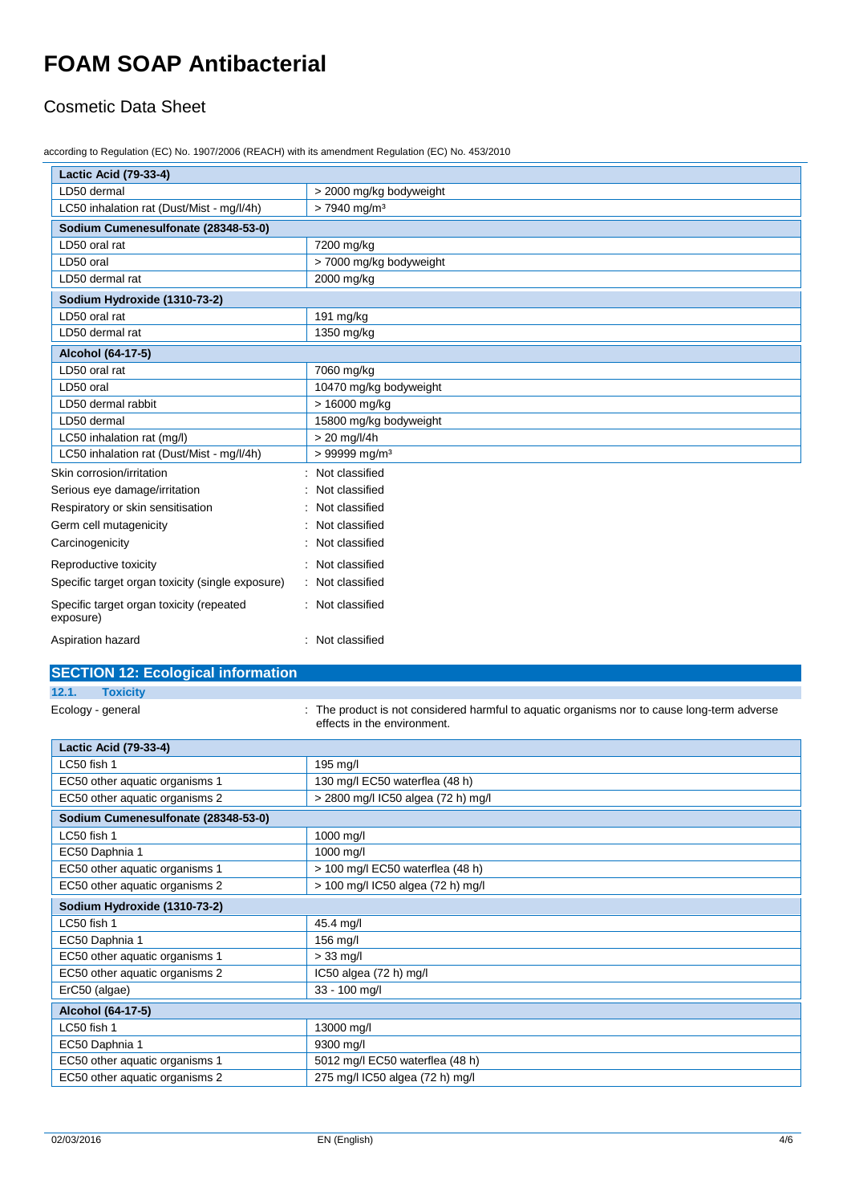### Cosmetic Data Sheet

according to Regulation (EC) No. 1907/2006 (REACH) with its amendment Regulation (EC) No. 453/2010

| <b>Lactic Acid (79-33-4)</b>                          |                             |  |  |
|-------------------------------------------------------|-----------------------------|--|--|
| LD50 dermal                                           | > 2000 mg/kg bodyweight     |  |  |
| LC50 inhalation rat (Dust/Mist - mg/l/4h)             | $> 7940$ mg/m <sup>3</sup>  |  |  |
| Sodium Cumenesulfonate (28348-53-0)                   |                             |  |  |
| LD50 oral rat                                         | 7200 mg/kg                  |  |  |
| LD50 oral                                             | > 7000 mg/kg bodyweight     |  |  |
| LD50 dermal rat                                       | 2000 mg/kg                  |  |  |
| Sodium Hydroxide (1310-73-2)                          |                             |  |  |
| LD50 oral rat                                         | 191 mg/kg                   |  |  |
| LD50 dermal rat                                       | 1350 mg/kg                  |  |  |
| Alcohol (64-17-5)                                     |                             |  |  |
| LD50 oral rat                                         | 7060 mg/kg                  |  |  |
| LD50 oral                                             | 10470 mg/kg bodyweight      |  |  |
| LD50 dermal rabbit                                    | > 16000 mg/kg               |  |  |
| LD50 dermal                                           | 15800 mg/kg bodyweight      |  |  |
| LC50 inhalation rat (mg/l)                            | $> 20$ mg/l/4h              |  |  |
| LC50 inhalation rat (Dust/Mist - mg/l/4h)             | $> 99999$ mg/m <sup>3</sup> |  |  |
| Skin corrosion/irritation                             | Not classified              |  |  |
| Serious eye damage/irritation                         | Not classified              |  |  |
| Respiratory or skin sensitisation                     | Not classified              |  |  |
| Germ cell mutagenicity                                | Not classified              |  |  |
| Carcinogenicity                                       | Not classified              |  |  |
| Reproductive toxicity                                 | Not classified              |  |  |
| Specific target organ toxicity (single exposure)      | Not classified              |  |  |
| Specific target organ toxicity (repeated<br>exposure) | : Not classified            |  |  |
| Aspiration hazard                                     | Not classified              |  |  |

#### **SECTION 12: Ecological information**

**12.1. Toxicity**

Ecology - general **interproduct is not considered harmful to aquatic organisms nor to cause long-term adverse** effects in the environment.

| <b>Lactic Acid (79-33-4)</b>        |                                    |  |  |
|-------------------------------------|------------------------------------|--|--|
| LC50 fish 1                         | 195 mg/l                           |  |  |
| EC50 other aquatic organisms 1      | 130 mg/l EC50 waterflea (48 h)     |  |  |
| EC50 other aquatic organisms 2      | > 2800 mg/l IC50 algea (72 h) mg/l |  |  |
| Sodium Cumenesulfonate (28348-53-0) |                                    |  |  |
| LC50 fish 1                         | 1000 mg/l                          |  |  |
| EC50 Daphnia 1                      | 1000 mg/l                          |  |  |
| EC50 other aquatic organisms 1      | > 100 mg/l EC50 waterflea (48 h)   |  |  |
| EC50 other aquatic organisms 2      | > 100 mg/l IC50 algea (72 h) mg/l  |  |  |
| Sodium Hydroxide (1310-73-2)        |                                    |  |  |
| LC50 fish 1                         | 45.4 mg/l                          |  |  |
| EC50 Daphnia 1                      | 156 mg/l                           |  |  |
| EC50 other aquatic organisms 1      | $>$ 33 mg/l                        |  |  |
| EC50 other aquatic organisms 2      | IC50 algea (72 h) mg/l             |  |  |
| ErC50 (algae)                       | 33 - 100 mg/l                      |  |  |
| Alcohol (64-17-5)                   |                                    |  |  |
| LC50 fish 1                         | 13000 mg/l                         |  |  |
| EC50 Daphnia 1                      | 9300 mg/l                          |  |  |
| EC50 other aquatic organisms 1      | 5012 mg/l EC50 waterflea (48 h)    |  |  |
| EC50 other aquatic organisms 2      | 275 mg/l IC50 algea (72 h) mg/l    |  |  |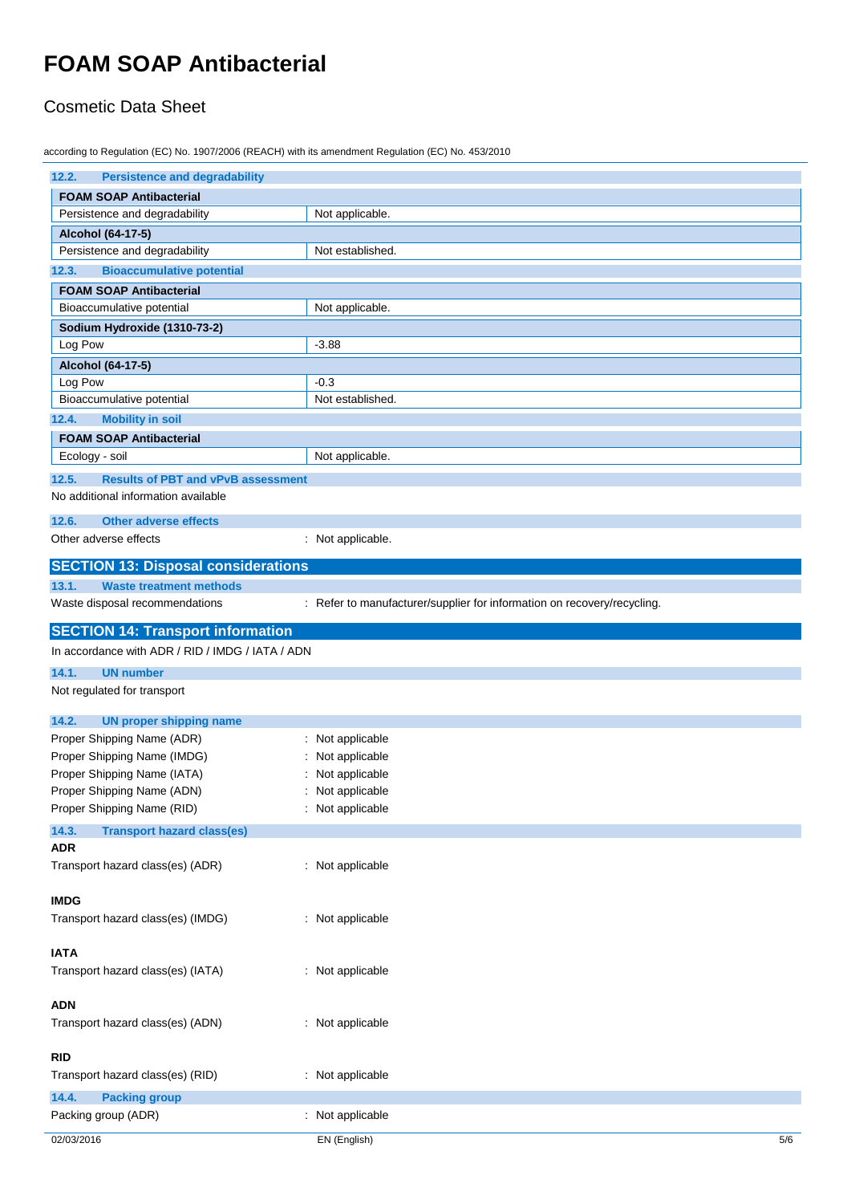### Cosmetic Data Sheet

according to Regulation (EC) No. 1907/2006 (REACH) with its amendment Regulation (EC) No. 453/2010

| 12.2.<br><b>Persistence and degradability</b>      |                                                                         |
|----------------------------------------------------|-------------------------------------------------------------------------|
| <b>FOAM SOAP Antibacterial</b>                     |                                                                         |
| Persistence and degradability                      | Not applicable.                                                         |
| Alcohol (64-17-5)                                  |                                                                         |
| Persistence and degradability                      | Not established.                                                        |
| 12.3.<br><b>Bioaccumulative potential</b>          |                                                                         |
| <b>FOAM SOAP Antibacterial</b>                     |                                                                         |
| Bioaccumulative potential                          | Not applicable.                                                         |
| Sodium Hydroxide (1310-73-2)                       |                                                                         |
| Log Pow                                            | $-3.88$                                                                 |
| Alcohol (64-17-5)                                  |                                                                         |
| Log Pow                                            | $-0.3$                                                                  |
| Bioaccumulative potential                          | Not established.                                                        |
| <b>Mobility in soil</b><br>12.4.                   |                                                                         |
| <b>FOAM SOAP Antibacterial</b>                     |                                                                         |
| Ecology - soil                                     | Not applicable.                                                         |
| 12.5.<br><b>Results of PBT and vPvB assessment</b> |                                                                         |
| No additional information available                |                                                                         |
| 12.6.<br><b>Other adverse effects</b>              |                                                                         |
| Other adverse effects                              | : Not applicable.                                                       |
|                                                    |                                                                         |
| <b>SECTION 13: Disposal considerations</b>         |                                                                         |
| 13.1.<br><b>Waste treatment methods</b>            |                                                                         |
| Waste disposal recommendations                     | : Refer to manufacturer/supplier for information on recovery/recycling. |
| <b>SECTION 14: Transport information</b>           |                                                                         |
| In accordance with ADR / RID / IMDG / IATA / ADN   |                                                                         |
| 14.1.<br><b>UN number</b>                          |                                                                         |
| Not regulated for transport                        |                                                                         |
|                                                    |                                                                         |
| 14.2.<br><b>UN proper shipping name</b>            |                                                                         |
| Proper Shipping Name (ADR)                         | : Not applicable                                                        |
| Proper Shipping Name (IMDG)                        | Not applicable                                                          |
| Proper Shipping Name (IATA)                        | Not applicable                                                          |
| Proper Shipping Name (ADN)                         | : Not applicable                                                        |
| Proper Shipping Name (RID)                         | : Not applicable                                                        |
| 14.3.<br><b>Transport hazard class(es)</b>         |                                                                         |
| <b>ADR</b>                                         |                                                                         |
| Transport hazard class(es) (ADR)                   | : Not applicable                                                        |
| <b>IMDG</b>                                        |                                                                         |
| Transport hazard class(es) (IMDG)                  | : Not applicable                                                        |
|                                                    |                                                                         |
| <b>IATA</b>                                        |                                                                         |
| Transport hazard class(es) (IATA)                  | : Not applicable                                                        |
|                                                    |                                                                         |
| <b>ADN</b>                                         |                                                                         |
| Transport hazard class(es) (ADN)                   | : Not applicable                                                        |
|                                                    |                                                                         |
| <b>RID</b>                                         |                                                                         |
| Transport hazard class(es) (RID)                   | : Not applicable                                                        |
| 14.4.<br><b>Packing group</b>                      |                                                                         |
| Packing group (ADR)                                |                                                                         |
|                                                    | : Not applicable                                                        |